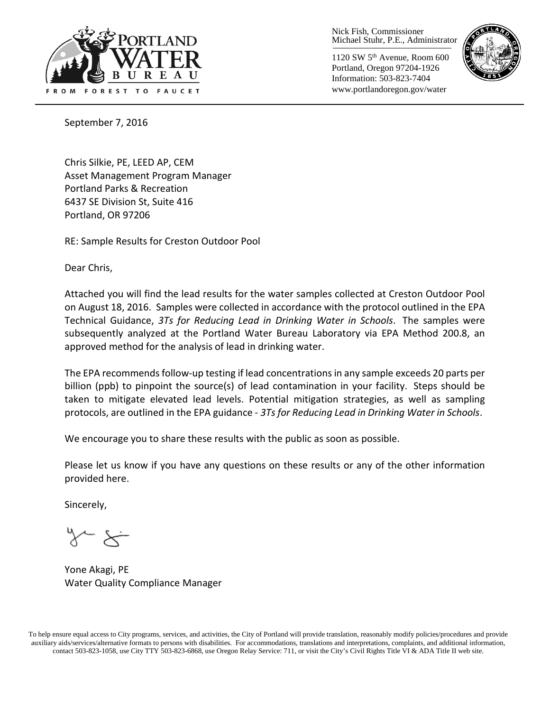

Nick Fish, Commissioner Michael Stuhr, P.E., Administrator

1120 SW 5th Avenue, Room 600 Portland, Oregon 97204-1926 Information: 503-823-7404 www.portlandoregon.gov/water



September 7, 2016

Chris Silkie, PE, LEED AP, CEM Asset Management Program Manager Portland Parks & Recreation 6437 SE Division St, Suite 416 Portland, OR 97206

RE: Sample Results for Creston Outdoor Pool

Dear Chris,

Attached you will find the lead results for the water samples collected at Creston Outdoor Pool on August 18, 2016. Samples were collected in accordance with the protocol outlined in the EPA Technical Guidance, *3Ts for Reducing Lead in Drinking Water in Schools*. The samples were subsequently analyzed at the Portland Water Bureau Laboratory via EPA Method 200.8, an approved method for the analysis of lead in drinking water.

The EPA recommends follow-up testing if lead concentrations in any sample exceeds 20 parts per billion (ppb) to pinpoint the source(s) of lead contamination in your facility. Steps should be taken to mitigate elevated lead levels. Potential mitigation strategies, as well as sampling protocols, are outlined in the EPA guidance - *3Ts for Reducing Lead in Drinking Water in Schools*.

We encourage you to share these results with the public as soon as possible.

Please let us know if you have any questions on these results or any of the other information provided here.

Sincerely,

Yone Akagi, PE Water Quality Compliance Manager

To help ensure equal access to City programs, services, and activities, the City of Portland will provide translation, reasonably modify policies/procedures and provide auxiliary aids/services/alternative formats to persons with disabilities. For accommodations, translations and interpretations, complaints, and additional information, contact 503-823-1058, use City TTY 503-823-6868, use Oregon Relay Service: 711, or visi[t the City's Civil Rights Title VI & ADA Title II web site.](http://www.portlandoregon.gov/oehr/66458)